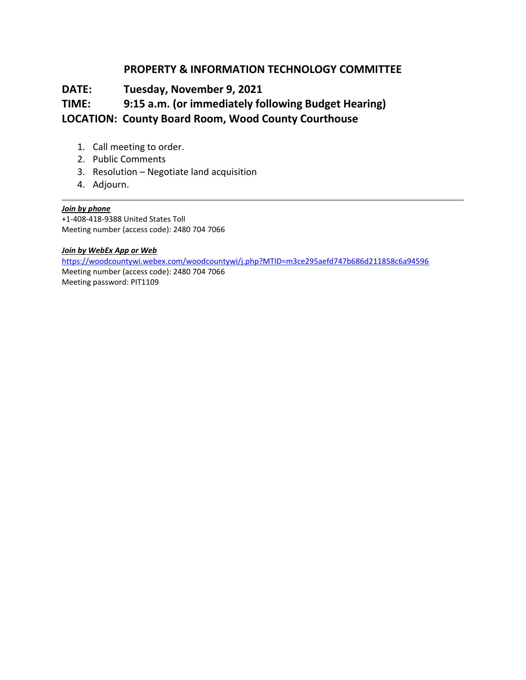## **PROPERTY & INFORMATION TECHNOLOGY COMMITTEE**

# **DATE: Tuesday, November 9, 2021**

# **TIME: 9:15 a.m. (or immediately following Budget Hearing)**

## **LOCATION: County Board Room, Wood County Courthouse**

- 1. Call meeting to order.
- 2. Public Comments
- 3. Resolution Negotiate land acquisition
- 4. Adjourn.

### *Join by phone*

+1-408-418-9388 United States Toll Meeting number (access code): 2480 704 7066

#### *Join by WebEx App or Web*

<https://woodcountywi.webex.com/woodcountywi/j.php?MTID=m3ce295aefd747b686d211858c6a94596> Meeting number (access code): 2480 704 7066 Meeting password: PIT1109